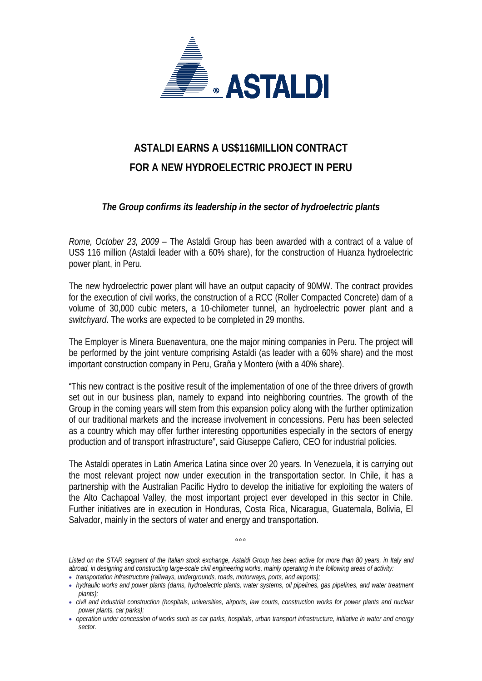

## **ASTALDI EARNS A US\$116MILLION CONTRACT FOR A NEW HYDROELECTRIC PROJECT IN PERU**

*The Group confirms its leadership in the sector of hydroelectric plants* 

*Rome, October 23, 2009* – The Astaldi Group has been awarded with a contract of a value of US\$ 116 million (Astaldi leader with a 60% share), for the construction of Huanza hydroelectric power plant, in Peru.

The new hydroelectric power plant will have an output capacity of 90MW. The contract provides for the execution of civil works, the construction of a RCC (Roller Compacted Concrete) dam of a volume of 30,000 cubic meters, a 10-chilometer tunnel, an hydroelectric power plant and a *switchyard*. The works are expected to be completed in 29 months.

The Employer is Minera Buenaventura, one the major mining companies in Peru. The project will be performed by the joint venture comprising Astaldi (as leader with a 60% share) and the most important construction company in Peru, Graña y Montero (with a 40% share).

"This new contract is the positive result of the implementation of one of the three drivers of growth set out in our business plan, namely to expand into neighboring countries. The growth of the Group in the coming years will stem from this expansion policy along with the further optimization of our traditional markets and the increase involvement in concessions. Peru has been selected as a country which may offer further interesting opportunities especially in the sectors of energy production and of transport infrastructure", said Giuseppe Cafiero, CEO for industrial policies.

The Astaldi operates in Latin America Latina since over 20 years. In Venezuela, it is carrying out the most relevant project now under execution in the transportation sector. In Chile, it has a partnership with the Australian Pacific Hydro to develop the initiative for exploiting the waters of the Alto Cachapoal Valley, the most important project ever developed in this sector in Chile. Further initiatives are in execution in Honduras, Costa Rica, Nicaragua, Guatemala, Bolivia, El Salvador, mainly in the sectors of water and energy and transportation.

*Listed on the STAR segment of the Italian stock exchange, Astaldi Group has been active for more than 80 years, in Italy and abroad, in designing and constructing large-scale civil engineering works, mainly operating in the following areas of activity:* • *transportation infrastructure (railways, undergrounds, roads, motorways, ports, and airports);* 

 $000$ 

<sup>•</sup> *hydraulic works and power plants (dams, hydroelectric plants, water systems, oil pipelines, gas pipelines, and water treatment plants);* 

<sup>•</sup> *civil and industrial construction (hospitals, universities, airports, law courts, construction works for power plants and nuclear power plants, car parks);* 

<sup>•</sup> *operation under concession of works such as car parks, hospitals, urban transport infrastructure, initiative in water and energy sector.*